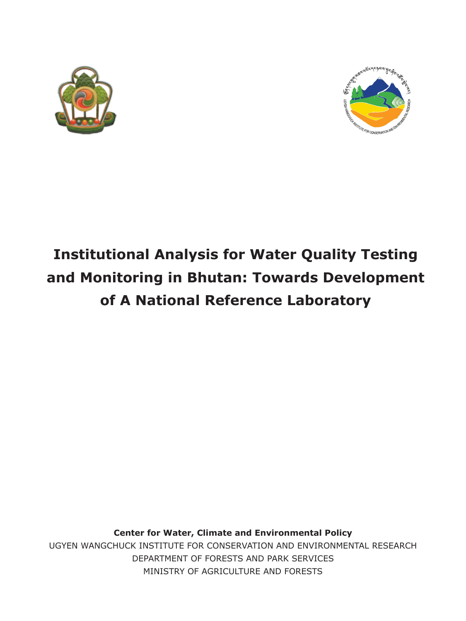



# **Institutional Analysis for Water Quality Testing and Monitoring in Bhutan: Towards Development of A National Reference Laboratory**

**Center for Water, Climate and Environmental Policy** UGYEN WANGCHUCK INSTITUTE FOR CONSERVATION AND ENVIRONMENTAL RESEARCH DEPARTMENT OF FORESTS AND PARK SERVICES MINISTRY OF AGRICULTURE AND FORESTS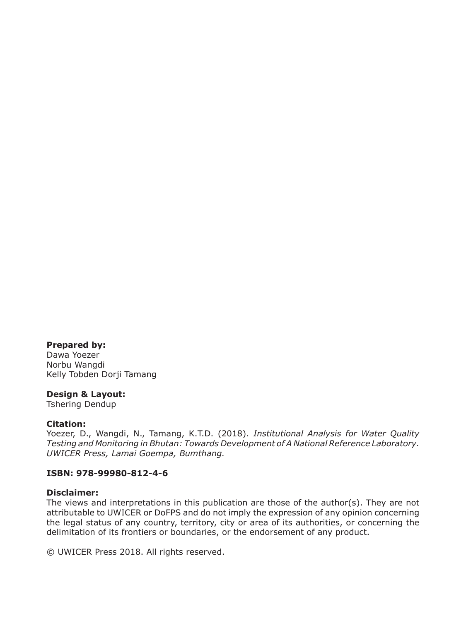### **Prepared by:**

Dawa Yoezer Norbu Wangdi Kelly Tobden Dorji Tamang

### **Design & Layout:**

Tshering Dendup

### **Citation:**

Yoezer, D., Wangdi, N., Tamang, K.T.D. (2018). *Institutional Analysis for Water Quality Testing and Monitoring in Bhutan: Towards Development of A National Reference Laboratory. UWICER Press, Lamai Goempa, Bumthang.*

### **ISBN: 978-99980-812-4-6**

#### **Disclaimer:**

The views and interpretations in this publication are those of the author(s). They are not attributable to UWICER or DoFPS and do not imply the expression of any opinion concerning the legal status of any country, territory, city or area of its authorities, or concerning the delimitation of its frontiers or boundaries, or the endorsement of any product.

© UWICER Press 2018. All rights reserved.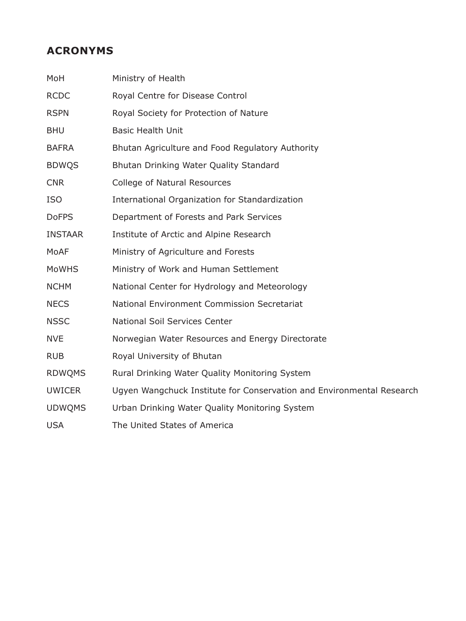### **ACRONYMS**

| MoH            | Ministry of Health                                                    |
|----------------|-----------------------------------------------------------------------|
| <b>RCDC</b>    | Royal Centre for Disease Control                                      |
| <b>RSPN</b>    | Royal Society for Protection of Nature                                |
| <b>BHU</b>     | <b>Basic Health Unit</b>                                              |
| <b>BAFRA</b>   | Bhutan Agriculture and Food Regulatory Authority                      |
| <b>BDWQS</b>   | Bhutan Drinking Water Quality Standard                                |
| <b>CNR</b>     | College of Natural Resources                                          |
| <b>ISO</b>     | International Organization for Standardization                        |
| <b>DoFPS</b>   | Department of Forests and Park Services                               |
| <b>INSTAAR</b> | Institute of Arctic and Alpine Research                               |
| MoAF           | Ministry of Agriculture and Forests                                   |
| <b>MoWHS</b>   | Ministry of Work and Human Settlement                                 |
| <b>NCHM</b>    | National Center for Hydrology and Meteorology                         |
| <b>NECS</b>    | National Environment Commission Secretariat                           |
| <b>NSSC</b>    | National Soil Services Center                                         |
| <b>NVE</b>     | Norwegian Water Resources and Energy Directorate                      |
| <b>RUB</b>     | Royal University of Bhutan                                            |
| <b>RDWQMS</b>  | Rural Drinking Water Quality Monitoring System                        |
| <b>UWICER</b>  | Ugyen Wangchuck Institute for Conservation and Environmental Research |
| <b>UDWOMS</b>  | Urban Drinking Water Quality Monitoring System                        |
| <b>USA</b>     | The United States of America                                          |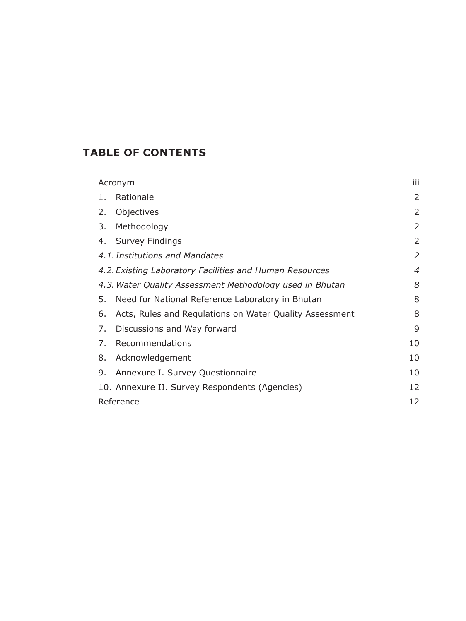### **TABLE OF CONTENTS**

| Acronym                                                       | iii            |  |  |
|---------------------------------------------------------------|----------------|--|--|
| Rationale<br>1.                                               | 2              |  |  |
| Objectives<br>2.                                              | 2              |  |  |
| Methodology<br>3.                                             | 2              |  |  |
| Survey Findings<br>4.                                         | 2              |  |  |
| 4.1. Institutions and Mandates                                | 2              |  |  |
| 4.2. Existing Laboratory Facilities and Human Resources       | $\overline{4}$ |  |  |
| 4.3. Water Quality Assessment Methodology used in Bhutan      | 8              |  |  |
| Need for National Reference Laboratory in Bhutan<br>5.        | 8              |  |  |
| Acts, Rules and Regulations on Water Quality Assessment<br>6. | 8              |  |  |
| Discussions and Way forward<br>7.                             | 9              |  |  |
| Recommendations<br>7.                                         | 10             |  |  |
| Acknowledgement<br>8.                                         | 10             |  |  |
| Annexure I. Survey Questionnaire<br>9.                        | 10             |  |  |
| 10. Annexure II. Survey Respondents (Agencies)                | 12             |  |  |
| Reference                                                     |                |  |  |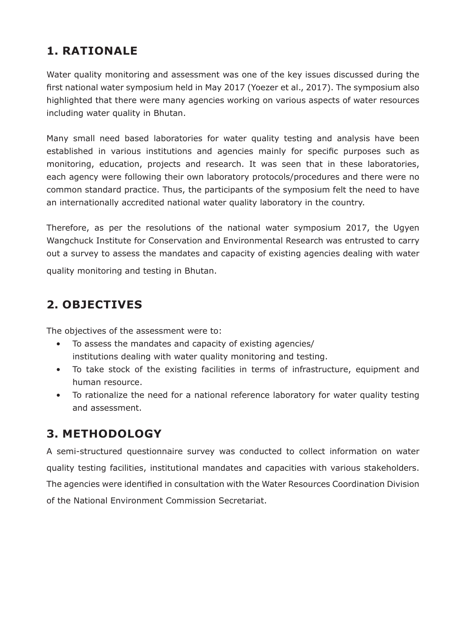# **1. RATIONALE**

Water quality monitoring and assessment was one of the key issues discussed during the first national water symposium held in May 2017 (Yoezer et al., 2017). The symposium also highlighted that there were many agencies working on various aspects of water resources including water quality in Bhutan.

Many small need based laboratories for water quality testing and analysis have been established in various institutions and agencies mainly for specific purposes such as monitoring, education, projects and research. It was seen that in these laboratories, each agency were following their own laboratory protocols/procedures and there were no common standard practice. Thus, the participants of the symposium felt the need to have an internationally accredited national water quality laboratory in the country.

Therefore, as per the resolutions of the national water symposium 2017, the Ugyen Wangchuck Institute for Conservation and Environmental Research was entrusted to carry out a survey to assess the mandates and capacity of existing agencies dealing with water quality monitoring and testing in Bhutan.

### **2. OBJECTIVES**

The objectives of the assessment were to:

- To assess the mandates and capacity of existing agencies/ institutions dealing with water quality monitoring and testing.
- To take stock of the existing facilities in terms of infrastructure, equipment and human resource.
- To rationalize the need for a national reference laboratory for water quality testing and assessment.

# **3. METHODOLOGY**

A semi-structured questionnaire survey was conducted to collect information on water quality testing facilities, institutional mandates and capacities with various stakeholders. The agencies were identified in consultation with the Water Resources Coordination Division of the National Environment Commission Secretariat.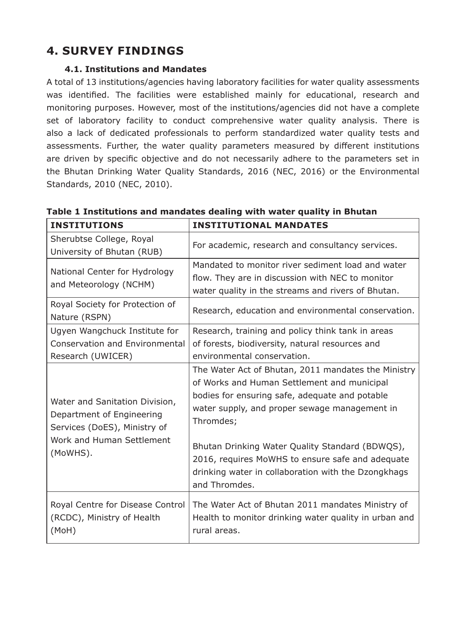# **4. SURVEY FINDINGS**

### **4.1. Institutions and Mandates**

A total of 13 institutions/agencies having laboratory facilities for water quality assessments was identified. The facilities were established mainly for educational, research and monitoring purposes. However, most of the institutions/agencies did not have a complete set of laboratory facility to conduct comprehensive water quality analysis. There is also a lack of dedicated professionals to perform standardized water quality tests and assessments. Further, the water quality parameters measured by different institutions are driven by specific objective and do not necessarily adhere to the parameters set in the Bhutan Drinking Water Quality Standards, 2016 (NEC, 2016) or the Environmental Standards, 2010 (NEC, 2010).

| <b>INSTITUTIONS</b>                                                                                                                  | <b>INSTITUTIONAL MANDATES</b>                                                                                                                                                                                                                                                                                                                                                                     |  |  |
|--------------------------------------------------------------------------------------------------------------------------------------|---------------------------------------------------------------------------------------------------------------------------------------------------------------------------------------------------------------------------------------------------------------------------------------------------------------------------------------------------------------------------------------------------|--|--|
| Sherubtse College, Royal<br>University of Bhutan (RUB)                                                                               | For academic, research and consultancy services.                                                                                                                                                                                                                                                                                                                                                  |  |  |
| National Center for Hydrology<br>and Meteorology (NCHM)                                                                              | Mandated to monitor river sediment load and water<br>flow. They are in discussion with NEC to monitor<br>water quality in the streams and rivers of Bhutan.                                                                                                                                                                                                                                       |  |  |
| Royal Society for Protection of<br>Nature (RSPN)                                                                                     | Research, education and environmental conservation.                                                                                                                                                                                                                                                                                                                                               |  |  |
| Ugyen Wangchuck Institute for<br>Conservation and Environmental<br>Research (UWICER)                                                 | Research, training and policy think tank in areas<br>of forests, biodiversity, natural resources and<br>environmental conservation.                                                                                                                                                                                                                                                               |  |  |
| Water and Sanitation Division,<br>Department of Engineering<br>Services (DoES), Ministry of<br>Work and Human Settlement<br>(MoWHS). | The Water Act of Bhutan, 2011 mandates the Ministry<br>of Works and Human Settlement and municipal<br>bodies for ensuring safe, adequate and potable<br>water supply, and proper sewage management in<br>Thromdes;<br>Bhutan Drinking Water Quality Standard (BDWQS),<br>2016, requires MoWHS to ensure safe and adequate<br>drinking water in collaboration with the Dzongkhags<br>and Thromdes. |  |  |
| Royal Centre for Disease Control<br>(RCDC), Ministry of Health<br>(MoH)                                                              | The Water Act of Bhutan 2011 mandates Ministry of<br>Health to monitor drinking water quality in urban and<br>rural areas.                                                                                                                                                                                                                                                                        |  |  |

**Table 1 Institutions and mandates dealing with water quality in Bhutan**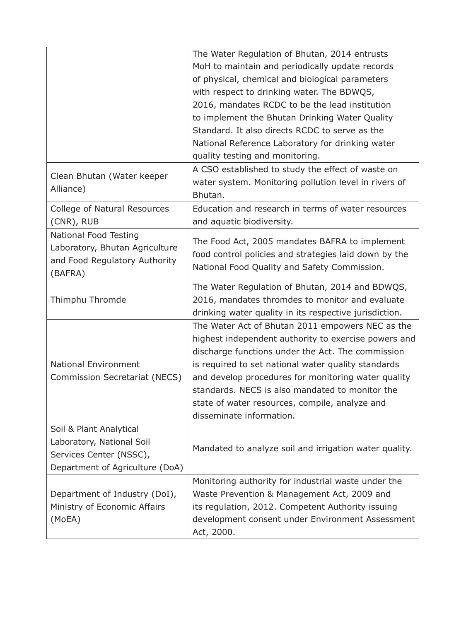|                                 | The Water Regulation of Bhutan, 2014 entrusts          |  |  |
|---------------------------------|--------------------------------------------------------|--|--|
|                                 | MoH to maintain and periodically update records        |  |  |
|                                 | of physical, chemical and biological parameters        |  |  |
|                                 | with respect to drinking water. The BDWQS,             |  |  |
|                                 | 2016, mandates RCDC to be the lead institution         |  |  |
|                                 | to implement the Bhutan Drinking Water Quality         |  |  |
|                                 | Standard. It also directs RCDC to serve as the         |  |  |
|                                 | National Reference Laboratory for drinking water       |  |  |
|                                 | quality testing and monitoring.                        |  |  |
|                                 | A CSO established to study the effect of waste on      |  |  |
| Clean Bhutan (Water keeper      | water system. Monitoring pollution level in rivers of  |  |  |
| Alliance)                       | Bhutan.                                                |  |  |
| College of Natural Resources    | Education and research in terms of water resources     |  |  |
| (CNR), RUB                      | and aquatic biodiversity.                              |  |  |
| National Food Testing           |                                                        |  |  |
| Laboratory, Bhutan Agriculture  | The Food Act, 2005 mandates BAFRA to implement         |  |  |
| and Food Regulatory Authority   | food control policies and strategies laid down by the  |  |  |
| (BAFRA)                         | National Food Quality and Safety Commission.           |  |  |
|                                 | The Water Regulation of Bhutan, 2014 and BDWQS,        |  |  |
| Thimphu Thromde                 | 2016, mandates thromdes to monitor and evaluate        |  |  |
|                                 | drinking water quality in its respective jurisdiction. |  |  |
|                                 | The Water Act of Bhutan 2011 empowers NEC as the       |  |  |
|                                 | highest independent authority to exercise powers and   |  |  |
|                                 | discharge functions under the Act. The commission      |  |  |
| National Environment            | is required to set national water quality standards    |  |  |
| Commission Secretariat (NECS)   | and develop procedures for monitoring water quality    |  |  |
|                                 | standards. NECS is also mandated to monitor the        |  |  |
|                                 | state of water resources, compile, analyze and         |  |  |
|                                 | disseminate information.                               |  |  |
| Soil & Plant Analytical         |                                                        |  |  |
| Laboratory, National Soil       |                                                        |  |  |
| Services Center (NSSC),         | Mandated to analyze soil and irrigation water quality. |  |  |
| Department of Agriculture (DoA) |                                                        |  |  |
|                                 | Monitoring authority for industrial waste under the    |  |  |
| Department of Industry (DoI),   | Waste Prevention & Management Act, 2009 and            |  |  |
| Ministry of Economic Affairs    | its regulation, 2012. Competent Authority issuing      |  |  |
| (MoEA)                          | development consent under Environment Assessment       |  |  |
|                                 | Act, 2000.                                             |  |  |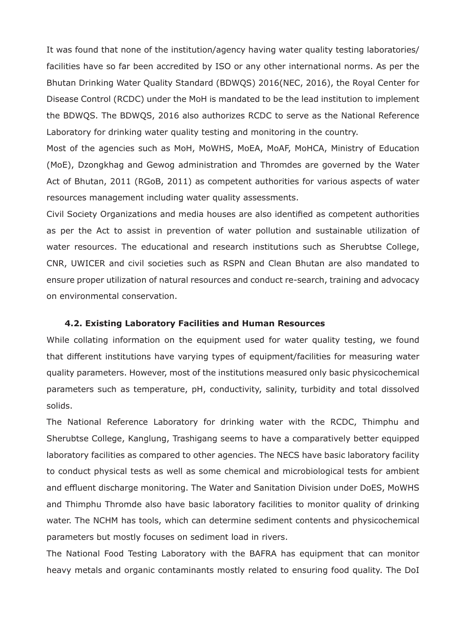It was found that none of the institution/agency having water quality testing laboratories/ facilities have so far been accredited by ISO or any other international norms. As per the Bhutan Drinking Water Quality Standard (BDWQS) 2016(NEC, 2016), the Royal Center for Disease Control (RCDC) under the MoH is mandated to be the lead institution to implement the BDWQS. The BDWQS, 2016 also authorizes RCDC to serve as the National Reference Laboratory for drinking water quality testing and monitoring in the country.

Most of the agencies such as MoH, MoWHS, MoEA, MoAF, MoHCA, Ministry of Education (MoE), Dzongkhag and Gewog administration and Thromdes are governed by the Water Act of Bhutan, 2011 (RGoB, 2011) as competent authorities for various aspects of water resources management including water quality assessments.

Civil Society Organizations and media houses are also identified as competent authorities as per the Act to assist in prevention of water pollution and sustainable utilization of water resources. The educational and research institutions such as Sherubtse College, CNR, UWICER and civil societies such as RSPN and Clean Bhutan are also mandated to ensure proper utilization of natural resources and conduct re-search, training and advocacy on environmental conservation.

#### **4.2. Existing Laboratory Facilities and Human Resources**

While collating information on the equipment used for water quality testing, we found that different institutions have varying types of equipment/facilities for measuring water quality parameters. However, most of the institutions measured only basic physicochemical parameters such as temperature, pH, conductivity, salinity, turbidity and total dissolved solids.

The National Reference Laboratory for drinking water with the RCDC, Thimphu and Sherubtse College, Kanglung, Trashigang seems to have a comparatively better equipped laboratory facilities as compared to other agencies. The NECS have basic laboratory facility to conduct physical tests as well as some chemical and microbiological tests for ambient and effluent discharge monitoring. The Water and Sanitation Division under DoES, MoWHS and Thimphu Thromde also have basic laboratory facilities to monitor quality of drinking water. The NCHM has tools, which can determine sediment contents and physicochemical parameters but mostly focuses on sediment load in rivers.

The National Food Testing Laboratory with the BAFRA has equipment that can monitor heavy metals and organic contaminants mostly related to ensuring food quality. The DoI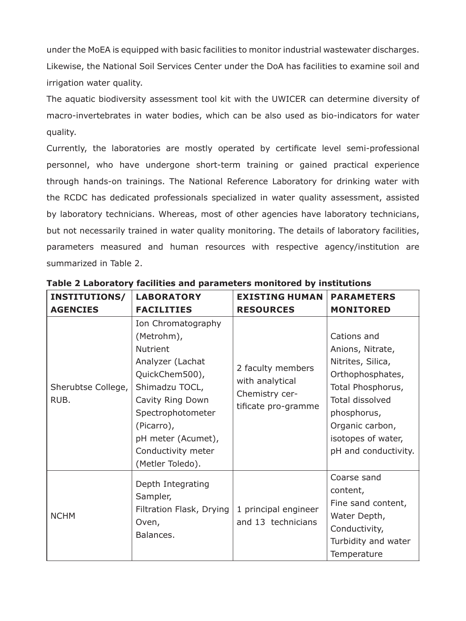under the MoEA is equipped with basic facilities to monitor industrial wastewater discharges. Likewise, the National Soil Services Center under the DoA has facilities to examine soil and irrigation water quality.

The aquatic biodiversity assessment tool kit with the UWICER can determine diversity of macro-invertebrates in water bodies, which can be also used as bio-indicators for water quality.

Currently, the laboratories are mostly operated by certificate level semi-professional personnel, who have undergone short-term training or gained practical experience through hands-on trainings. The National Reference Laboratory for drinking water with the RCDC has dedicated professionals specialized in water quality assessment, assisted by laboratory technicians. Whereas, most of other agencies have laboratory technicians, but not necessarily trained in water quality monitoring. The details of laboratory facilities, parameters measured and human resources with respective agency/institution are summarized in Table 2.

| <b>INSTITUTIONS/</b>       | <b>LABORATORY</b>                                                                                                                                                                                                                  | <b>EXISTING HUMAN</b>                                                         | <b>PARAMETERS</b>                                                                                                                                                                                |
|----------------------------|------------------------------------------------------------------------------------------------------------------------------------------------------------------------------------------------------------------------------------|-------------------------------------------------------------------------------|--------------------------------------------------------------------------------------------------------------------------------------------------------------------------------------------------|
| <b>AGENCIES</b>            | <b>FACILITIES</b>                                                                                                                                                                                                                  | <b>RESOURCES</b>                                                              | <b>MONITORED</b>                                                                                                                                                                                 |
| Sherubtse College,<br>RUB. | Ion Chromatography<br>(Metrohm),<br><b>Nutrient</b><br>Analyzer (Lachat<br>QuickChem500),<br>Shimadzu TOCL,<br>Cavity Ring Down<br>Spectrophotometer<br>(Picarro),<br>pH meter (Acumet),<br>Conductivity meter<br>(Metler Toledo). | 2 faculty members<br>with analytical<br>Chemistry cer-<br>tificate pro-gramme | Cations and<br>Anions, Nitrate,<br>Nitrites, Silica,<br>Orthophosphates,<br>Total Phosphorus,<br>Total dissolved<br>phosphorus,<br>Organic carbon,<br>isotopes of water,<br>pH and conductivity. |
| <b>NCHM</b>                | Depth Integrating<br>Sampler,<br>Filtration Flask, Drying<br>Oven,<br>Balances.                                                                                                                                                    | 1 principal engineer<br>and 13 technicians                                    | Coarse sand<br>content,<br>Fine sand content,<br>Water Depth,<br>Conductivity,<br>Turbidity and water<br>Temperature                                                                             |

**Table 2 Laboratory facilities and parameters monitored by institutions**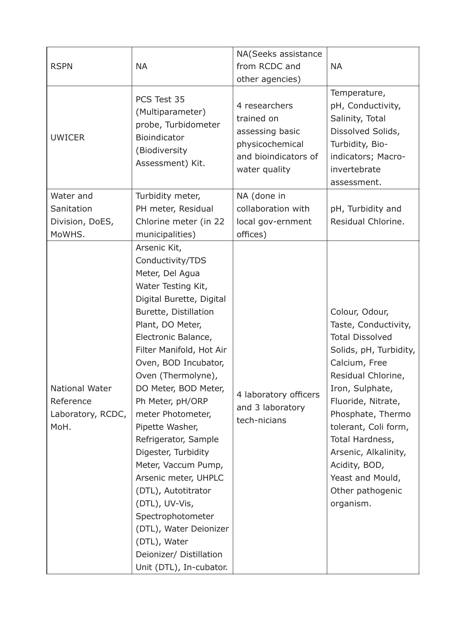| <b>RSPN</b>                                              | NA                                                                                                                                                                                                                                                                                                                                                                                                                                                                                                                                                                                                  | NA(Seeks assistance<br>from RCDC and<br>other agencies)                                                    | <b>NA</b>                                                                                                                                                                                                                                                                                                                                |
|----------------------------------------------------------|-----------------------------------------------------------------------------------------------------------------------------------------------------------------------------------------------------------------------------------------------------------------------------------------------------------------------------------------------------------------------------------------------------------------------------------------------------------------------------------------------------------------------------------------------------------------------------------------------------|------------------------------------------------------------------------------------------------------------|------------------------------------------------------------------------------------------------------------------------------------------------------------------------------------------------------------------------------------------------------------------------------------------------------------------------------------------|
| <b>UWICER</b>                                            | PCS Test 35<br>(Multiparameter)<br>probe, Turbidometer<br>Bioindicator<br>(Biodiversity<br>Assessment) Kit.                                                                                                                                                                                                                                                                                                                                                                                                                                                                                         | 4 researchers<br>trained on<br>assessing basic<br>physicochemical<br>and bioindicators of<br>water quality | Temperature,<br>pH, Conductivity,<br>Salinity, Total<br>Dissolved Solids,<br>Turbidity, Bio-<br>indicators; Macro-<br>invertebrate<br>assessment.                                                                                                                                                                                        |
| Water and                                                | Turbidity meter,                                                                                                                                                                                                                                                                                                                                                                                                                                                                                                                                                                                    | NA (done in                                                                                                |                                                                                                                                                                                                                                                                                                                                          |
| Sanitation                                               | PH meter, Residual                                                                                                                                                                                                                                                                                                                                                                                                                                                                                                                                                                                  | collaboration with                                                                                         | pH, Turbidity and                                                                                                                                                                                                                                                                                                                        |
| Division, DoES,                                          | Chlorine meter (in 22                                                                                                                                                                                                                                                                                                                                                                                                                                                                                                                                                                               | local gov-ernment                                                                                          | Residual Chlorine.                                                                                                                                                                                                                                                                                                                       |
| MoWHS.                                                   | municipalities)                                                                                                                                                                                                                                                                                                                                                                                                                                                                                                                                                                                     | offices)                                                                                                   |                                                                                                                                                                                                                                                                                                                                          |
| National Water<br>Reference<br>Laboratory, RCDC,<br>MoH. | Arsenic Kit,<br>Conductivity/TDS<br>Meter, Del Agua<br>Water Testing Kit,<br>Digital Burette, Digital<br>Burette, Distillation<br>Plant, DO Meter,<br>Electronic Balance,<br>Filter Manifold, Hot Air<br>Oven, BOD Incubator,<br>Oven (Thermolyne),<br>DO Meter, BOD Meter,<br>Ph Meter, pH/ORP<br>meter Photometer,<br>Pipette Washer,<br>Refrigerator, Sample<br>Digester, Turbidity<br>Meter, Vaccum Pump,<br>Arsenic meter, UHPLC<br>(DTL), Autotitrator<br>(DTL), UV-Vis,<br>Spectrophotometer<br>(DTL), Water Deionizer<br>(DTL), Water<br>Deionizer/ Distillation<br>Unit (DTL), In-cubator. | 4 laboratory officers<br>and 3 laboratory<br>tech-nicians                                                  | Colour, Odour,<br>Taste, Conductivity,<br><b>Total Dissolved</b><br>Solids, pH, Turbidity,<br>Calcium, Free<br>Residual Chlorine,<br>Iron, Sulphate,<br>Fluoride, Nitrate,<br>Phosphate, Thermo<br>tolerant, Coli form,<br>Total Hardness,<br>Arsenic, Alkalinity,<br>Acidity, BOD,<br>Yeast and Mould,<br>Other pathogenic<br>organism. |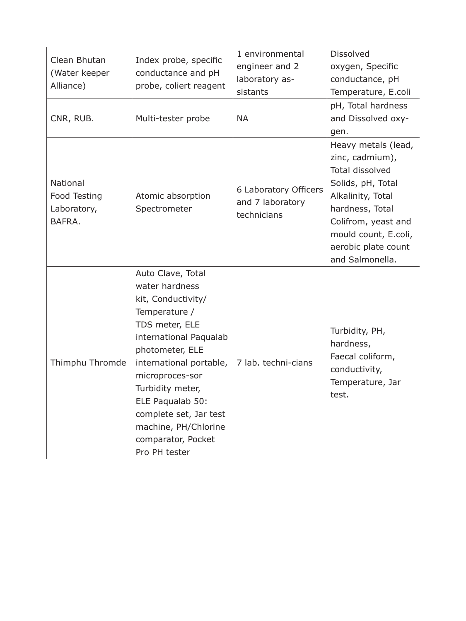| Clean Bhutan<br>(Water keeper<br>Alliance)        | Index probe, specific<br>conductance and pH<br>probe, coliert reagent                                                                                                                                                                                                                                                    | 1 environmental<br>engineer and 2<br>laboratory as-<br>sistants | Dissolved<br>oxygen, Specific<br>conductance, pH<br>Temperature, E.coli                                                                                                                                                |
|---------------------------------------------------|--------------------------------------------------------------------------------------------------------------------------------------------------------------------------------------------------------------------------------------------------------------------------------------------------------------------------|-----------------------------------------------------------------|------------------------------------------------------------------------------------------------------------------------------------------------------------------------------------------------------------------------|
| CNR, RUB.                                         | Multi-tester probe                                                                                                                                                                                                                                                                                                       | <b>NA</b>                                                       | pH, Total hardness<br>and Dissolved oxy-<br>gen.                                                                                                                                                                       |
| National<br>Food Testing<br>Laboratory,<br>BAFRA. | Atomic absorption<br>Spectrometer                                                                                                                                                                                                                                                                                        | 6 Laboratory Officers<br>and 7 laboratory<br>technicians        | Heavy metals (lead,<br>zinc, cadmium),<br><b>Total dissolved</b><br>Solids, pH, Total<br>Alkalinity, Total<br>hardness, Total<br>Colifrom, yeast and<br>mould count, E.coli,<br>aerobic plate count<br>and Salmonella. |
| Thimphu Thromde                                   | Auto Clave, Total<br>water hardness<br>kit, Conductivity/<br>Temperature /<br>TDS meter, ELE<br>international Paqualab<br>photometer, ELE<br>international portable,<br>microproces-sor<br>Turbidity meter,<br>ELE Paqualab 50:<br>complete set, Jar test<br>machine, PH/Chlorine<br>comparator, Pocket<br>Pro PH tester | 7 lab. techni-cians                                             | Turbidity, PH,<br>hardness,<br>Faecal coliform,<br>conductivity,<br>Temperature, Jar<br>test.                                                                                                                          |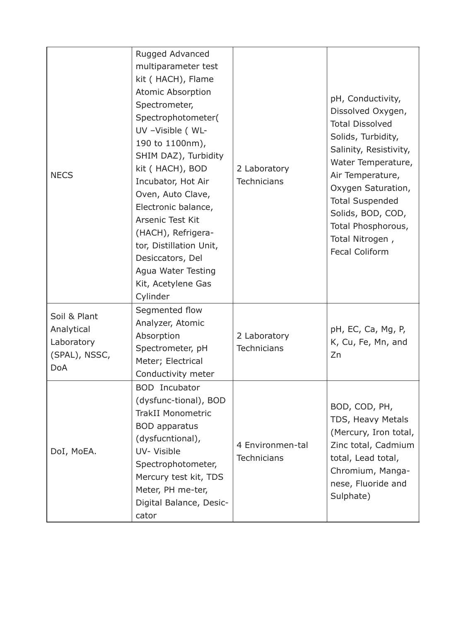| <b>NECS</b>                                                             | Rugged Advanced<br>multiparameter test<br>kit ( HACH), Flame<br>Atomic Absorption<br>Spectrometer,<br>Spectrophotometer(<br>UV -Visible (WL-<br>190 to 1100nm),<br>SHIM DAZ), Turbidity<br>kit (HACH), BOD<br>Incubator, Hot Air<br>Oven, Auto Clave,<br>Electronic balance,<br>Arsenic Test Kit<br>(HACH), Refrigera-<br>tor, Distillation Unit,<br>Desiccators, Del<br>Agua Water Testing | 2 Laboratory<br><b>Technicians</b>     | pH, Conductivity,<br>Dissolved Oxygen,<br><b>Total Dissolved</b><br>Solids, Turbidity,<br>Salinity, Resistivity,<br>Water Temperature,<br>Air Temperature,<br>Oxygen Saturation,<br><b>Total Suspended</b><br>Solids, BOD, COD,<br>Total Phosphorous,<br>Total Nitrogen,<br><b>Fecal Coliform</b> |
|-------------------------------------------------------------------------|---------------------------------------------------------------------------------------------------------------------------------------------------------------------------------------------------------------------------------------------------------------------------------------------------------------------------------------------------------------------------------------------|----------------------------------------|---------------------------------------------------------------------------------------------------------------------------------------------------------------------------------------------------------------------------------------------------------------------------------------------------|
|                                                                         | Kit, Acetylene Gas<br>Cylinder                                                                                                                                                                                                                                                                                                                                                              |                                        |                                                                                                                                                                                                                                                                                                   |
| Soil & Plant<br>Analytical<br>Laboratory<br>(SPAL), NSSC,<br><b>DoA</b> | Segmented flow<br>Analyzer, Atomic<br>Absorption<br>Spectrometer, pH<br>Meter; Electrical<br>Conductivity meter                                                                                                                                                                                                                                                                             | 2 Laboratory<br><b>Technicians</b>     | pH, EC, Ca, Mg, P,<br>K, Cu, Fe, Mn, and<br>Zn                                                                                                                                                                                                                                                    |
| DoI, MoEA.                                                              | <b>BOD</b> Incubator<br>(dysfunc-tional), BOD<br><b>TrakII Monometric</b><br><b>BOD</b> apparatus<br>(dysfucntional),<br>UV- Visible<br>Spectrophotometer,<br>Mercury test kit, TDS<br>Meter, PH me-ter,<br>Digital Balance, Desic-<br>cator                                                                                                                                                | 4 Environmen-tal<br><b>Technicians</b> | BOD, COD, PH,<br>TDS, Heavy Metals<br>(Mercury, Iron total,<br>Zinc total, Cadmium<br>total, Lead total,<br>Chromium, Manga-<br>nese, Fluoride and<br>Sulphate)                                                                                                                                   |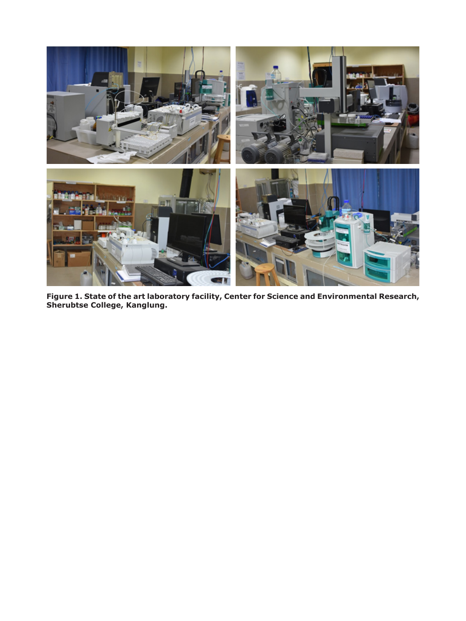

**Figure 1. State of the art laboratory facility, Center for Science and Environmental Research, Sherubtse College, Kanglung.**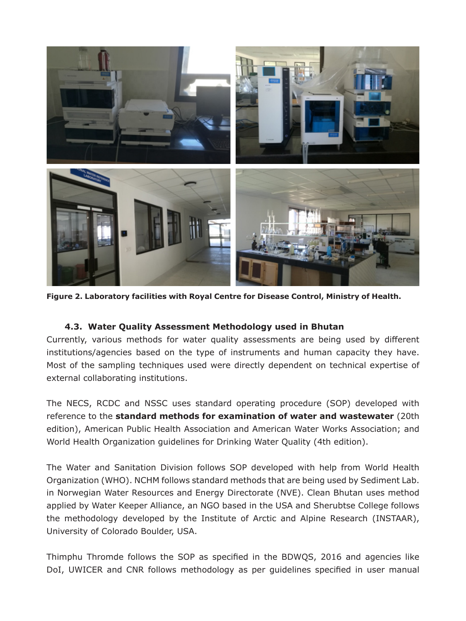

**Figure 2. Laboratory facilities with Royal Centre for Disease Control, Ministry of Health.**

### **4.3. Water Quality Assessment Methodology used in Bhutan**

Currently, various methods for water quality assessments are being used by different institutions/agencies based on the type of instruments and human capacity they have. Most of the sampling techniques used were directly dependent on technical expertise of external collaborating institutions.

The NECS, RCDC and NSSC uses standard operating procedure (SOP) developed with reference to the **standard methods for examination of water and wastewater** (20th edition), American Public Health Association and American Water Works Association; and World Health Organization guidelines for Drinking Water Quality (4th edition).

The Water and Sanitation Division follows SOP developed with help from World Health Organization (WHO). NCHM follows standard methods that are being used by Sediment Lab. in Norwegian Water Resources and Energy Directorate (NVE). Clean Bhutan uses method applied by Water Keeper Alliance, an NGO based in the USA and Sherubtse College follows the methodology developed by the Institute of Arctic and Alpine Research (INSTAAR), University of Colorado Boulder, USA.

Thimphu Thromde follows the SOP as specified in the BDWQS, 2016 and agencies like DoI, UWICER and CNR follows methodology as per guidelines specified in user manual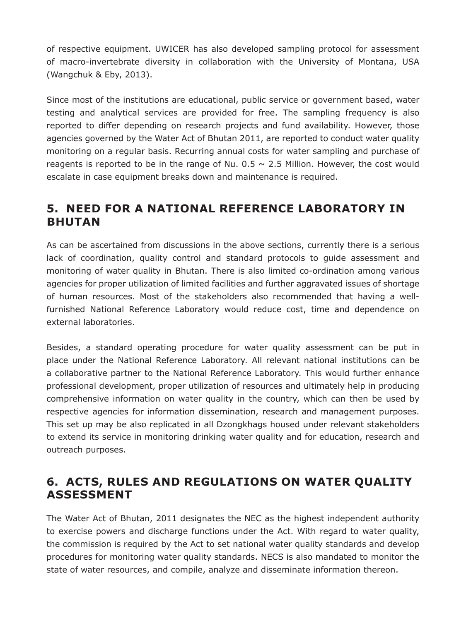of respective equipment. UWICER has also developed sampling protocol for assessment of macro-invertebrate diversity in collaboration with the University of Montana, USA (Wangchuk & Eby, 2013).

Since most of the institutions are educational, public service or government based, water testing and analytical services are provided for free. The sampling frequency is also reported to differ depending on research projects and fund availability. However, those agencies governed by the Water Act of Bhutan 2011, are reported to conduct water quality monitoring on a regular basis. Recurring annual costs for water sampling and purchase of reagents is reported to be in the range of Nu.  $0.5 \sim 2.5$  Million. However, the cost would escalate in case equipment breaks down and maintenance is required.

### **5. NEED FOR A NATIONAL REFERENCE LABORATORY IN BHUTAN**

As can be ascertained from discussions in the above sections, currently there is a serious lack of coordination, quality control and standard protocols to guide assessment and monitoring of water quality in Bhutan. There is also limited co-ordination among various agencies for proper utilization of limited facilities and further aggravated issues of shortage of human resources. Most of the stakeholders also recommended that having a wellfurnished National Reference Laboratory would reduce cost, time and dependence on external laboratories.

Besides, a standard operating procedure for water quality assessment can be put in place under the National Reference Laboratory. All relevant national institutions can be a collaborative partner to the National Reference Laboratory. This would further enhance professional development, proper utilization of resources and ultimately help in producing comprehensive information on water quality in the country, which can then be used by respective agencies for information dissemination, research and management purposes. This set up may be also replicated in all Dzongkhags housed under relevant stakeholders to extend its service in monitoring drinking water quality and for education, research and outreach purposes.

### **6. ACTS, RULES AND REGULATIONS ON WATER QUALITY ASSESSMENT**

The Water Act of Bhutan, 2011 designates the NEC as the highest independent authority to exercise powers and discharge functions under the Act. With regard to water quality, the commission is required by the Act to set national water quality standards and develop procedures for monitoring water quality standards. NECS is also mandated to monitor the state of water resources, and compile, analyze and disseminate information thereon.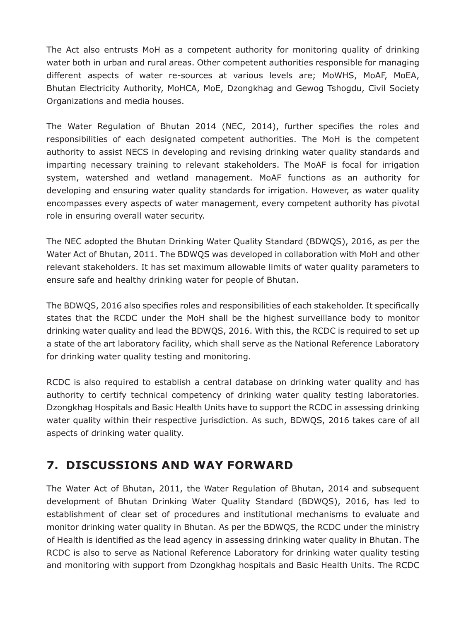The Act also entrusts MoH as a competent authority for monitoring quality of drinking water both in urban and rural areas. Other competent authorities responsible for managing different aspects of water re-sources at various levels are; MoWHS, MoAF, MoEA, Bhutan Electricity Authority, MoHCA, MoE, Dzongkhag and Gewog Tshogdu, Civil Society Organizations and media houses.

The Water Regulation of Bhutan 2014 (NEC, 2014), further specifies the roles and responsibilities of each designated competent authorities. The MoH is the competent authority to assist NECS in developing and revising drinking water quality standards and imparting necessary training to relevant stakeholders. The MoAF is focal for irrigation system, watershed and wetland management. MoAF functions as an authority for developing and ensuring water quality standards for irrigation. However, as water quality encompasses every aspects of water management, every competent authority has pivotal role in ensuring overall water security.

The NEC adopted the Bhutan Drinking Water Quality Standard (BDWQS), 2016, as per the Water Act of Bhutan, 2011. The BDWQS was developed in collaboration with MoH and other relevant stakeholders. It has set maximum allowable limits of water quality parameters to ensure safe and healthy drinking water for people of Bhutan.

The BDWQS, 2016 also specifies roles and responsibilities of each stakeholder. It specifically states that the RCDC under the MoH shall be the highest surveillance body to monitor drinking water quality and lead the BDWQS, 2016. With this, the RCDC is required to set up a state of the art laboratory facility, which shall serve as the National Reference Laboratory for drinking water quality testing and monitoring.

RCDC is also required to establish a central database on drinking water quality and has authority to certify technical competency of drinking water quality testing laboratories. Dzongkhag Hospitals and Basic Health Units have to support the RCDC in assessing drinking water quality within their respective jurisdiction. As such, BDWQS, 2016 takes care of all aspects of drinking water quality.

### **7. DISCUSSIONS AND WAY FORWARD**

The Water Act of Bhutan, 2011, the Water Regulation of Bhutan, 2014 and subsequent development of Bhutan Drinking Water Quality Standard (BDWQS), 2016, has led to establishment of clear set of procedures and institutional mechanisms to evaluate and monitor drinking water quality in Bhutan. As per the BDWQS, the RCDC under the ministry of Health is identified as the lead agency in assessing drinking water quality in Bhutan. The RCDC is also to serve as National Reference Laboratory for drinking water quality testing and monitoring with support from Dzongkhag hospitals and Basic Health Units. The RCDC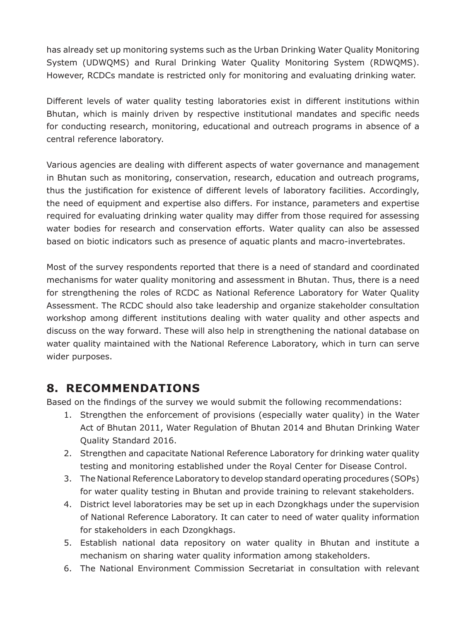has already set up monitoring systems such as the Urban Drinking Water Quality Monitoring System (UDWQMS) and Rural Drinking Water Quality Monitoring System (RDWQMS). However, RCDCs mandate is restricted only for monitoring and evaluating drinking water.

Different levels of water quality testing laboratories exist in different institutions within Bhutan, which is mainly driven by respective institutional mandates and specific needs for conducting research, monitoring, educational and outreach programs in absence of a central reference laboratory.

Various agencies are dealing with different aspects of water governance and management in Bhutan such as monitoring, conservation, research, education and outreach programs, thus the justification for existence of different levels of laboratory facilities. Accordingly, the need of equipment and expertise also differs. For instance, parameters and expertise required for evaluating drinking water quality may differ from those required for assessing water bodies for research and conservation efforts. Water quality can also be assessed based on biotic indicators such as presence of aquatic plants and macro-invertebrates.

Most of the survey respondents reported that there is a need of standard and coordinated mechanisms for water quality monitoring and assessment in Bhutan. Thus, there is a need for strengthening the roles of RCDC as National Reference Laboratory for Water Quality Assessment. The RCDC should also take leadership and organize stakeholder consultation workshop among different institutions dealing with water quality and other aspects and discuss on the way forward. These will also help in strengthening the national database on water quality maintained with the National Reference Laboratory, which in turn can serve wider purposes.

### **8. RECOMMENDATIONS**

Based on the findings of the survey we would submit the following recommendations:

- 1. Strengthen the enforcement of provisions (especially water quality) in the Water Act of Bhutan 2011, Water Regulation of Bhutan 2014 and Bhutan Drinking Water Quality Standard 2016.
- 2. Strengthen and capacitate National Reference Laboratory for drinking water quality testing and monitoring established under the Royal Center for Disease Control.
- 3. The National Reference Laboratory to develop standard operating procedures (SOPs) for water quality testing in Bhutan and provide training to relevant stakeholders.
- 4. District level laboratories may be set up in each Dzongkhags under the supervision of National Reference Laboratory. It can cater to need of water quality information for stakeholders in each Dzongkhags.
- 5. Establish national data repository on water quality in Bhutan and institute a mechanism on sharing water quality information among stakeholders.
- 6. The National Environment Commission Secretariat in consultation with relevant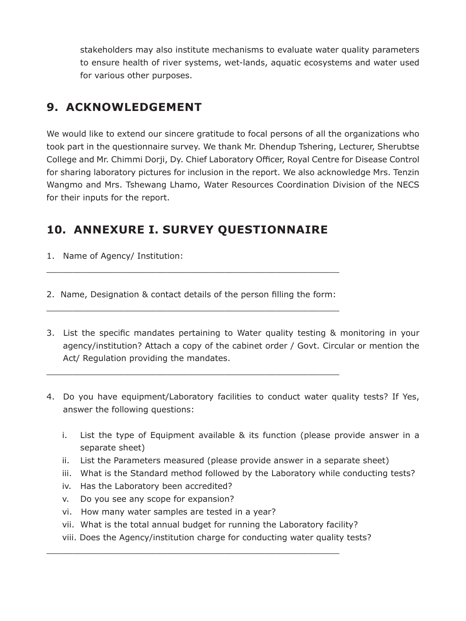stakeholders may also institute mechanisms to evaluate water quality parameters to ensure health of river systems, wet-lands, aquatic ecosystems and water used for various other purposes.

# **9. ACKNOWLEDGEMENT**

We would like to extend our sincere gratitude to focal persons of all the organizations who took part in the questionnaire survey. We thank Mr. Dhendup Tshering, Lecturer, Sherubtse College and Mr. Chimmi Dorji, Dy. Chief Laboratory Officer, Royal Centre for Disease Control for sharing laboratory pictures for inclusion in the report. We also acknowledge Mrs. Tenzin Wangmo and Mrs. Tshewang Lhamo, Water Resources Coordination Division of the NECS for their inputs for the report.

# **10. ANNEXURE I. SURVEY QUESTIONNAIRE**

- 1. Name of Agency/ Institution:
- 2. Name, Designation & contact details of the person filling the form: \_\_\_\_\_\_\_\_\_\_\_\_\_\_\_\_\_\_\_\_\_\_\_\_\_\_\_\_\_\_\_\_\_\_\_\_\_\_\_\_\_\_\_\_\_\_\_\_\_\_\_\_\_\_\_\_

\_\_\_\_\_\_\_\_\_\_\_\_\_\_\_\_\_\_\_\_\_\_\_\_\_\_\_\_\_\_\_\_\_\_\_\_\_\_\_\_\_\_\_\_\_\_\_\_\_\_\_\_\_\_\_\_

\_\_\_\_\_\_\_\_\_\_\_\_\_\_\_\_\_\_\_\_\_\_\_\_\_\_\_\_\_\_\_\_\_\_\_\_\_\_\_\_\_\_\_\_\_\_\_\_\_\_\_\_\_\_\_\_

- 3. List the specific mandates pertaining to Water quality testing & monitoring in your agency/institution? Attach a copy of the cabinet order / Govt. Circular or mention the Act/ Regulation providing the mandates.
- 4. Do you have equipment/Laboratory facilities to conduct water quality tests? If Yes, answer the following questions:
	- i. List the type of Equipment available & its function (please provide answer in a separate sheet)
	- ii. List the Parameters measured (please provide answer in a separate sheet)
	- iii. What is the Standard method followed by the Laboratory while conducting tests?
	- iv. Has the Laboratory been accredited?
	- v. Do you see any scope for expansion?
	- vi. How many water samples are tested in a year?
	- vii. What is the total annual budget for running the Laboratory facility?

\_\_\_\_\_\_\_\_\_\_\_\_\_\_\_\_\_\_\_\_\_\_\_\_\_\_\_\_\_\_\_\_\_\_\_\_\_\_\_\_\_\_\_\_\_\_\_\_\_\_\_\_\_\_\_\_

viii. Does the Agency/institution charge for conducting water quality tests?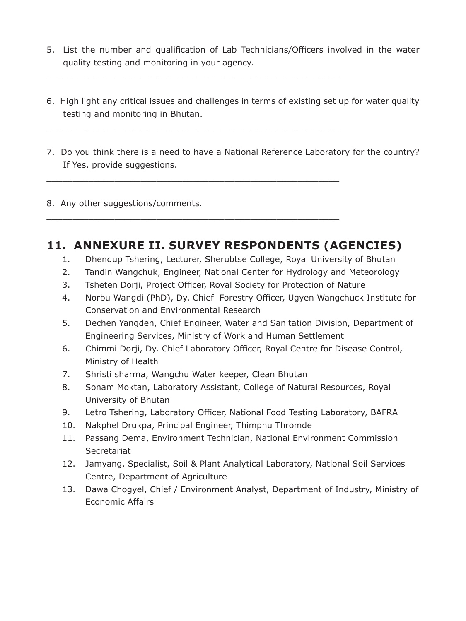5. List the number and qualification of Lab Technicians/Officers involved in the water quality testing and monitoring in your agency.

\_\_\_\_\_\_\_\_\_\_\_\_\_\_\_\_\_\_\_\_\_\_\_\_\_\_\_\_\_\_\_\_\_\_\_\_\_\_\_\_\_\_\_\_\_\_\_\_\_\_\_\_\_\_\_\_

\_\_\_\_\_\_\_\_\_\_\_\_\_\_\_\_\_\_\_\_\_\_\_\_\_\_\_\_\_\_\_\_\_\_\_\_\_\_\_\_\_\_\_\_\_\_\_\_\_\_\_\_\_\_\_\_

\_\_\_\_\_\_\_\_\_\_\_\_\_\_\_\_\_\_\_\_\_\_\_\_\_\_\_\_\_\_\_\_\_\_\_\_\_\_\_\_\_\_\_\_\_\_\_\_\_\_\_\_\_\_\_\_

\_\_\_\_\_\_\_\_\_\_\_\_\_\_\_\_\_\_\_\_\_\_\_\_\_\_\_\_\_\_\_\_\_\_\_\_\_\_\_\_\_\_\_\_\_\_\_\_\_\_\_\_\_\_\_\_

- 6. High light any critical issues and challenges in terms of existing set up for water quality testing and monitoring in Bhutan.
- 7. Do you think there is a need to have a National Reference Laboratory for the country? If Yes, provide suggestions.

8. Any other suggestions/comments.

### **11. ANNEXURE II. SURVEY RESPONDENTS (AGENCIES)**

- 1. Dhendup Tshering, Lecturer, Sherubtse College, Royal University of Bhutan
- 2. Tandin Wangchuk, Engineer, National Center for Hydrology and Meteorology
- 3. Tsheten Dorji, Project Officer, Royal Society for Protection of Nature
- 4. Norbu Wangdi (PhD), Dy. Chief Forestry Officer, Ugyen Wangchuck Institute for Conservation and Environmental Research
- 5. Dechen Yangden, Chief Engineer, Water and Sanitation Division, Department of Engineering Services, Ministry of Work and Human Settlement
- 6. Chimmi Dorji, Dy. Chief Laboratory Officer, Royal Centre for Disease Control, Ministry of Health
- 7. Shristi sharma, Wangchu Water keeper, Clean Bhutan
- 8. Sonam Moktan, Laboratory Assistant, College of Natural Resources, Royal University of Bhutan
- 9. Letro Tshering, Laboratory Officer, National Food Testing Laboratory, BAFRA
- 10. Nakphel Drukpa, Principal Engineer, Thimphu Thromde
- 11. Passang Dema, Environment Technician, National Environment Commission **Secretariat**
- 12. Jamyang, Specialist, Soil & Plant Analytical Laboratory, National Soil Services Centre, Department of Agriculture
- 13. Dawa Chogyel, Chief / Environment Analyst, Department of Industry, Ministry of Economic Affairs